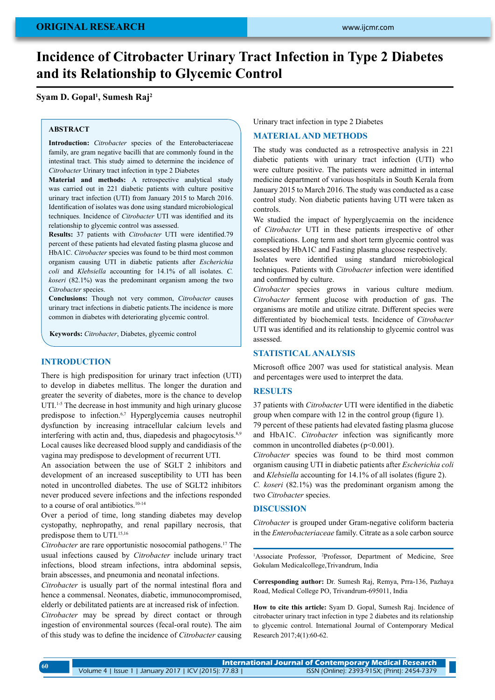# **Incidence of Citrobacter Urinary Tract Infection in Type 2 Diabetes and its Relationship to Glycemic Control**

# **Syam D. Gopal1 , Sumesh Raj2**

## **ABSTRACT**

**Introduction:** *Citrobacter* species of the Enterobacteriaceae family, are gram negative bacilli that are commonly found in the intestinal tract. This study aimed to determine the incidence of *Citrobacter* Urinary tract infection in type 2 Diabetes

**Material and methods:** A retrospective analytical study was carried out in 221 diabetic patients with culture positive urinary tract infection (UTI) from January 2015 to March 2016. Identification of isolates was done using standard microbiological techniques. Incidence of *Citrobacter* UTI was identified and its relationship to glycemic control was assessed.

**Results:** 37 patients with *Citrobacter* UTI were identified.79 percent of these patients had elevated fasting plasma glucose and HbA1C. *Citrobacter* species was found to be third most common organism causing UTI in diabetic patients after *Escherichia coli* and *Klebsiella* accounting for 14.1% of all isolates. *C. koseri* (82.1%) was the predominant organism among the two *Citrobacter* species.

**Conclusions:** Though not very common, *Citrobacter* causes urinary tract infections in diabetic patients.The incidence is more common in diabetes with deteriorating glycemic control.

**Keywords:** *Citrobacter*, Diabetes, glycemic control

## **Introduction**

There is high predisposition for urinary tract infection (UTI) to develop in diabetes mellitus. The longer the duration and greater the severity of diabetes, more is the chance to develop UTI.<sup>1-5</sup> The decrease in host immunity and high urinary glucose predispose to infection.<sup>6,7</sup> Hyperglycemia causes neutrophil dysfunction by increasing intracellular calcium levels and interfering with actin and, thus, diapedesis and phagocytosis.<sup>8,9</sup> Local causes like decreased blood supply and candidiasis of the vagina may predispose to development of recurrent UTI.

An association between the use of SGLT 2 inhibitors and development of an increased susceptibility to UTI has been noted in uncontrolled diabetes. The use of SGLT2 inhibitors never produced severe infections and the infections responded to a course of oral antibiotics.10-14

Over a period of time, long standing diabetes may develop cystopathy, nephropathy, and renal papillary necrosis, that predispose them to UTI.15,16

*Citrobacter* are rare opportunistic nosocomial pathogens.17 The usual infections caused by *Citrobacter* include urinary tract infections, blood stream infections, intra abdominal sepsis, brain abscesses, and pneumonia and neonatal infections.

*Citrobacter* is usually part of the normal intestinal flora and hence a commensal. Neonates, diabetic, immunocompromised, elderly or debilitated patients are at increased risk of infection. *Citrobacter* may be spread by direct contact or through ingestion of environmental sources (fecal-oral route). The aim of this study was to define the incidence of *Citrobacter* causing

Urinary tract infection in type 2 Diabetes

# **Material and methods**

The study was conducted as a retrospective analysis in 221 diabetic patients with urinary tract infection (UTI) who were culture positive. The patients were admitted in internal medicine department of various hospitals in South Kerala from January 2015 to March 2016. The study was conducted as a case control study. Non diabetic patients having UTI were taken as controls.

We studied the impact of hyperglycaemia on the incidence of *Citrobacter* UTI in these patients irrespective of other complications. Long term and short term glycemic control was assessed by HbA1C and Fasting plasma glucose respectively.

Isolates were identified using standard microbiological techniques. Patients with *Citrobacter* infection were identified and confirmed by culture.

*Citrobacter* species grows in various culture medium. *Citrobacter* ferment glucose with production of gas. The organisms are motile and utilize citrate. Different species were differentiated by biochemical tests. Incidence of *Citrobacter*  UTI was identified and its relationship to glycemic control was assessed.

## **Statistical analysis**

Microsoft office 2007 was used for statistical analysis. Mean and percentages were used to interpret the data.

#### **Results**

37 patients with *Citrobacter* UTI were identified in the diabetic group when compare with 12 in the control group (figure 1). 79 percent of these patients had elevated fasting plasma glucose and HbA1C. *Citrobacter* infection was significantly more common in uncontrolled diabetes (p<0.001).

*Citrobacter* species was found to be third most common organism causing UTI in diabetic patients after *Escherichia coli*  and *Klebsiella* accounting for 14.1% of all isolates (figure 2).

*C. koseri* (82.1%) was the predominant organism among the two *Citrobacter* species.

# **Discussion**

*Citrobacter* is grouped under Gram-negative coliform bacteria in the *Enterobacteriaceae* family. Citrate as a sole carbon source

<sup>1</sup>Associate Professor, <sup>2</sup>Professor, Department of Medicine, Sree Gokulam Medicalcollege,Trivandrum, India

**Corresponding author:** Dr. Sumesh Raj, Remya, Prra-136, Pazhaya Road, Medical College PO, Trivandrum-695011, India

**How to cite this article:** Syam D. Gopal, Sumesh Raj. Incidence of citrobacter urinary tract infection in type 2 diabetes and its relationship to glycemic control. International Journal of Contemporary Medical Research 2017;4(1):60-62.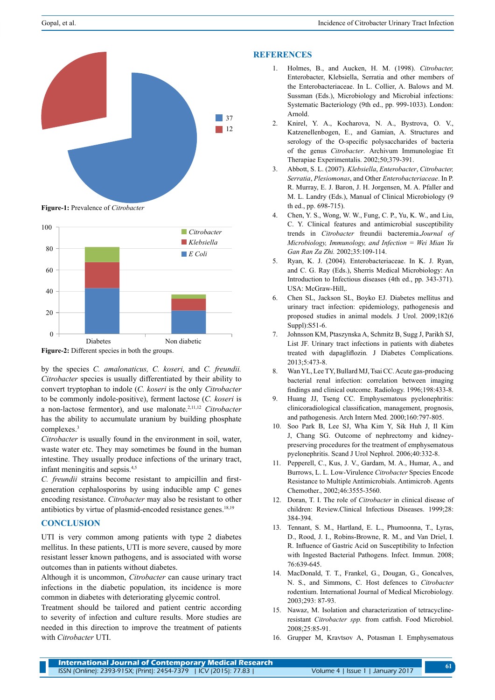

**Figure-1:** Prevalence of *Citrobacter*



**Figure-2:** Different species in both the groups.

by the species *C. amalonaticus, C. koseri,* and *C. freundii. Citrobacter* species is usually differentiated by their ability to convert tryptophan to indole (*C. koseri* is the only *Citrobacter*  to be commonly indole-positive), ferment lactose (*C. koseri* is a non-lactose fermentor), and use malonate. 2,11,12 *Citrobacter*  has the ability to accumulate uranium by building phosphate complexes.<sup>3</sup>

*Citrobacter* is usually found in the environment in soil, water, waste water etc. They may sometimes be found in the human intestine. They usually produce infections of the urinary tract, infant meningitis and sepsis. 4,5

*C. freundii* strains become resistant to ampicillin and firstgeneration cephalosporins by using inducible amp C genes encoding resistance. *Citrobacter* may also be resistant to other antibiotics by virtue of plasmid-encoded resistance genes.18,19

## **Conclusion**

UTI is very common among patients with type 2 diabetes mellitus. In these patients, UTI is more severe, caused by more resistant lesser known pathogens, and is associated with worse outcomes than in patients without diabetes.

Although it is uncommon, *Citrobacter* can cause urinary tract infections in the diabetic population, its incidence is more common in diabetes with deteriorating glycemic control.

Treatment should be tailored and patient centric according to severity of infection and culture results. More studies are needed in this direction to improve the treatment of patients with *Citrobacter* UTI.

# **References**

- 1. Holmes, B., and Aucken, H. M. (1998). *Citrobacter,* Enterobacter, Klebsiella, Serratia and other members of the Enterobacteriaceae. In L. Collier, A. Balows and M. Sussman (Eds.), Microbiology and Microbial infections: Systematic Bacteriology (9th ed., pp. 999-1033). London: Arnold.
- 2. Knirel, Y. A., Kocharova, N. A., Bystrova, O. V., Katzenellenbogen, E., and Gamian, A. Structures and serology of the O-specific polysaccharides of bacteria of the genus *Citrobacter*. Archivum Immunologiae Et Therapiae Experimentalis. 2002;50;379-391.
- 3. Abbott, S. L. (2007). *Klebsiella*, *Enterobacter*, *Citrobacter, Serratia*, *Plesiomonas*, and Other *Enterobacteriaceae*. In P. R. Murray, E. J. Baron, J. H. Jorgensen, M. A. Pfaller and M. L. Landry (Eds.), Manual of Clinical Microbiology (9 th ed., pp. 698-715).
- 4. Chen, Y. S., Wong, W. W., Fung, C. P., Yu, K. W., and Liu, C. Y. Clinical features and antimicrobial susceptibility trends in *Citrobacter* freundii bacteremia.*Journal of Microbiology, Immunology, and Infection = Wei Mian Yu Gan Ran Za Zhi.* 2002;35:109-114.
- 5. Ryan, K. J. (2004). Enterobacteriaceae. In K. J. Ryan, and C. G. Ray (Eds.), Sherris Medical Microbiology: An Introduction to Infectious diseases (4th ed., pp. 343-371). USA: McGraw-Hill,.
- 6. Chen SL, Jackson SL, Boyko EJ. Diabetes mellitus and urinary tract infection: epidemiology, pathogenesis and proposed studies in animal models*.* J Urol. 2009;182(6 Suppl): S51-6.
- 7. Johnsson KM, Ptaszynska A, Schmitz B, Sugg J, Parikh SJ, List JF. Urinary tract infections in patients with diabetes treated with dapagliflozin*.* J Diabetes Complications. 2013;5:473-8.
- 8. Wan YL, Lee TY, Bullard MJ, Tsai CC. Acute gas-producing bacterial renal infection: correlation between imaging findings and clinical outcome. Radiology. 1996;198:433-8.
- 9. Huang JJ, Tseng CC. Emphysematous pyelonephritis: clinicoradiological classification, management, prognosis, and pathogenesis. Arch Intern Med*.* 2000;160:797-805.
- 10. Soo Park B, Lee SJ, Wha Kim Y, Sik Huh J, Il Kim J, Chang SG. Outcome of nephrectomy and kidneypreserving procedures for the treatment of emphysematous pyelonephritis. Scand J Urol Nephrol. 2006;40:332-8.
- 11. Pepperell, C., Kus, J. V., Gardam, M. A., Humar, A., and Burrows, L. L. Low-Virulence *Citrobacter* Species Encode Resistance to Multiple Antimicrobials. Antimicrob. Agents Chemother., 2002;46:3555-3560.
- 12. Doran, T. I. The role of *Citrobacter* in clinical disease of children: Review.Clinical Infectious Diseases. 1999;28: 384-394.
- 13. Tennant, S. M., Hartland, E. L., Phumoonna, T., Lyras, D., Rood, J. I., Robins-Browne, R. M., and Van Driel, I. R. Influence of Gastric Acid on Susceptibility to Infection with Ingested Bacterial Pathogens. Infect. Immun. 2008; 76:639-645.
- 14. MacDonald, T. T., Frankel, G., Dougan, G., Goncalves, N. S., and Simmons, C. Host defences to *Citrobacter*  rodentium. International Journal of Medical Microbiology. 2003;293: 87-93.
- 15. Nawaz, M. Isolation and characterization of tetracyclineresistant *Citrobacter spp.* from catfish. Food Microbiol. 2008;25:85-91.
- 16. Grupper M, Kravtsov A, Potasman I. Emphysematous